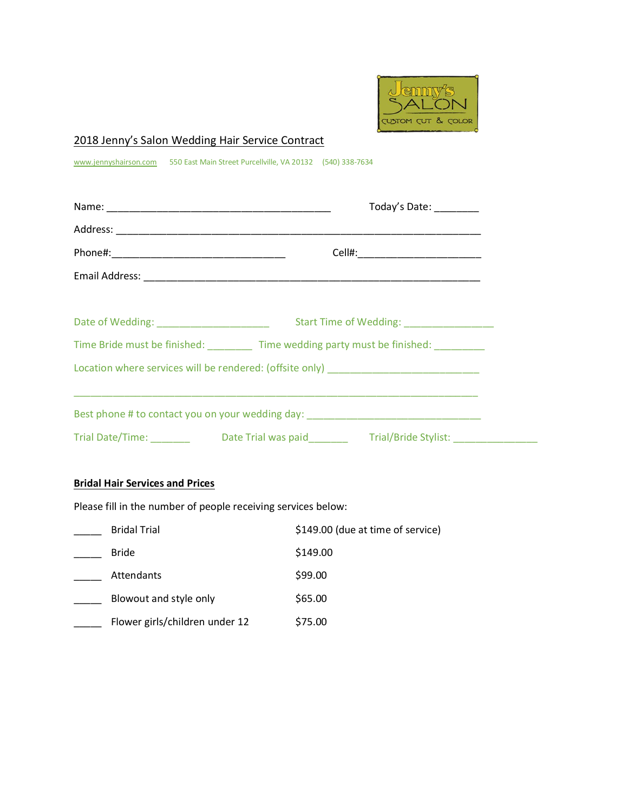

# 2018 Jenny's Salon Wedding Hair Service Contract

www.jennyshairson.com 550 East Main Street Purcellville, VA 20132 (540) 338-7634

|                                                                                  | Today's Date: _______                                                                   |  |  |  |
|----------------------------------------------------------------------------------|-----------------------------------------------------------------------------------------|--|--|--|
|                                                                                  |                                                                                         |  |  |  |
|                                                                                  |                                                                                         |  |  |  |
|                                                                                  |                                                                                         |  |  |  |
|                                                                                  |                                                                                         |  |  |  |
|                                                                                  |                                                                                         |  |  |  |
|                                                                                  | Time Bride must be finished: Time wedding party must be finished:                       |  |  |  |
| Location where services will be rendered: (offsite only) _______________________ |                                                                                         |  |  |  |
|                                                                                  |                                                                                         |  |  |  |
|                                                                                  | Best phone # to contact you on your wedding day: _______________________________        |  |  |  |
|                                                                                  | Trial Date/Time: _________ Date Trial was paid________ Trial/Bride Stylist: ___________ |  |  |  |

# **Bridal Hair Services and Prices**

Please fill in the number of people receiving services below:

| <b>Bridal Trial</b>            | \$149.00 (due at time of service) |
|--------------------------------|-----------------------------------|
| <b>Bride</b>                   | \$149.00                          |
| Attendants                     | \$99.00                           |
| Blowout and style only         | \$65.00                           |
| Flower girls/children under 12 | \$75.00                           |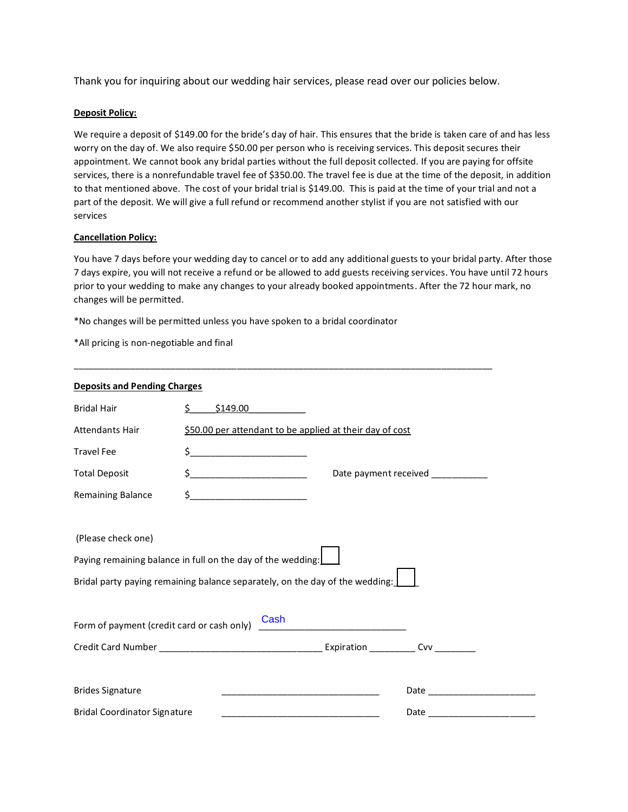Thank you for inquiring about our wedding hair services, please read over our policies below.

#### **Deposit Policy:**

We require a deposit of \$149.00 for the bride's day of hair. This ensures that the bride is taken care of and has less worry on the day of. We also require \$50.00 per person who is receiving services. This deposit secures their appointment. We cannot book any bridal parties without the full deposit collected. If you are paying for offsite services, there is a nonrefundable travel fee of \$350.00. The travel fee is due at the time of the deposit, in addition to that mentioned above. The cost of your bridal trial is \$149.00. This is paid at the time of your trial and not a part of the deposit. We will give a full refund or recommend another stylist if you are not satisfied with our services

#### **Cancellation Policy:**

You have 7 days before your wedding day to cancel or to add any additional guests to your bridal party. After those 7 days expire, you will not receive a refund or be allowed to add guests receiving services. You have until 72 hours prior to your wedding to make any changes to your already booked appointments. After the 72 hour mark, no changes will be permitted.

\_\_\_\_\_\_\_\_\_\_\_\_\_\_\_\_\_\_\_\_\_\_\_\_\_\_\_\_\_\_\_\_\_\_\_\_\_\_\_\_\_\_\_\_\_\_\_\_\_\_\_\_\_\_\_\_\_\_\_\_\_\_\_\_\_\_\_\_\_\_\_\_\_\_\_\_\_\_\_\_\_\_

\*No changes will be permitted unless you have spoken to a bridal coordinator

\*All pricing is non-negotiable and final

| <b>Deposits and Pending Charges</b>        |                                                                                                                                                                                                                                                                                                                                                                     |                                  |  |  |  |
|--------------------------------------------|---------------------------------------------------------------------------------------------------------------------------------------------------------------------------------------------------------------------------------------------------------------------------------------------------------------------------------------------------------------------|----------------------------------|--|--|--|
| <b>Bridal Hair</b>                         | \$149.00<br>Ś.                                                                                                                                                                                                                                                                                                                                                      |                                  |  |  |  |
| Attendants Hair                            | \$50.00 per attendant to be applied at their day of cost                                                                                                                                                                                                                                                                                                            |                                  |  |  |  |
| <b>Travel Fee</b>                          | $\begin{picture}(20,10) \put(0,0){\vector(1,0){100}} \put(15,0){\vector(1,0){100}} \put(15,0){\vector(1,0){100}} \put(15,0){\vector(1,0){100}} \put(15,0){\vector(1,0){100}} \put(15,0){\vector(1,0){100}} \put(15,0){\vector(1,0){100}} \put(15,0){\vector(1,0){100}} \put(15,0){\vector(1,0){100}} \put(15,0){\vector(1,0){100}} \put(15,0){\vector(1,0){100}} \$ |                                  |  |  |  |
| <b>Total Deposit</b>                       |                                                                                                                                                                                                                                                                                                                                                                     | Date payment received __________ |  |  |  |
| Remaining Balance                          | $\frac{1}{2}$ $\frac{1}{2}$ $\frac{1}{2}$ $\frac{1}{2}$ $\frac{1}{2}$ $\frac{1}{2}$ $\frac{1}{2}$ $\frac{1}{2}$ $\frac{1}{2}$ $\frac{1}{2}$ $\frac{1}{2}$ $\frac{1}{2}$ $\frac{1}{2}$ $\frac{1}{2}$ $\frac{1}{2}$ $\frac{1}{2}$ $\frac{1}{2}$ $\frac{1}{2}$ $\frac{1}{2}$ $\frac{1}{2}$ $\frac{1}{2}$ $\frac{1}{2}$                                                 |                                  |  |  |  |
| (Please check one)                         | Paying remaining balance in full on the day of the wedding: $\underline{\mathsf{L}}$<br>Bridal party paying remaining balance separately, on the day of the wedding: $\lfloor$                                                                                                                                                                                      |                                  |  |  |  |
| Form of payment (credit card or cash only) | Cash                                                                                                                                                                                                                                                                                                                                                                |                                  |  |  |  |
|                                            |                                                                                                                                                                                                                                                                                                                                                                     |                                  |  |  |  |
| <b>Brides Signature</b>                    |                                                                                                                                                                                                                                                                                                                                                                     |                                  |  |  |  |
| <b>Bridal Coordinator Signature</b>        |                                                                                                                                                                                                                                                                                                                                                                     | Date                             |  |  |  |